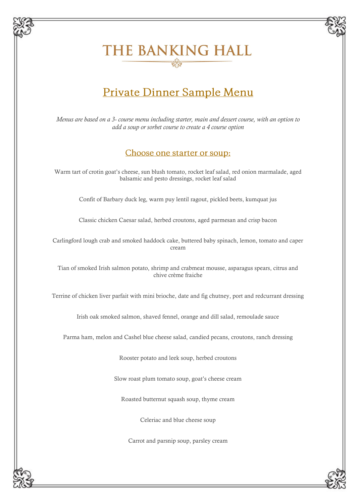# THE BANKING HALL

## Private Dinner Sample Menu

*Menus are based on a 3- course menu including starter, main and dessert course, with an option to add a soup or sorbet course to create a 4 course option*

#### Choose one starter or soup:

Warm tart of crotin goat's cheese, sun blush tomato, rocket leaf salad, red onion marmalade, aged balsamic and pesto dressings, rocket leaf salad

Confit of Barbary duck leg, warm puy lentil ragout, pickled beets, kumquat jus

Classic chicken Caesar salad, herbed croutons, aged parmesan and crisp bacon

Carlingford lough crab and smoked haddock cake, buttered baby spinach, lemon, tomato and caper cream

Tian of smoked Irish salmon potato, shrimp and crabmeat mousse, asparagus spears, citrus and chive crème fraiche

Terrine of chicken liver parfait with mini brioche, date and fig chutney, port and redcurrant dressing

Irish oak smoked salmon, shaved fennel, orange and dill salad, remoulade sauce

Parma ham, melon and Cashel blue cheese salad, candied pecans, croutons, ranch dressing

Rooster potato and leek soup, herbed croutons

Slow roast plum tomato soup, goat's cheese cream

Roasted butternut squash soup, thyme cream

Celeriac and blue cheese soup

Carrot and parsnip soup, parsley cream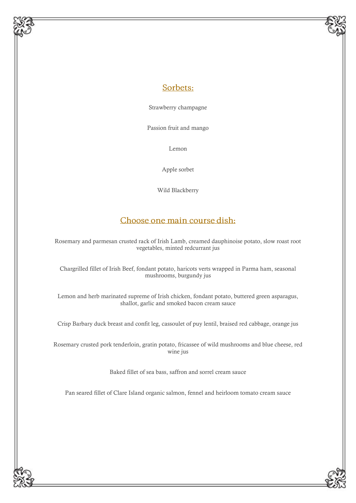#### Sorbets:

Strawberry champagne

Passion fruit and mango

Lemon

Apple sorbet

Wild Blackberry

### Choose one main course dish:

Rosemary and parmesan crusted rack of Irish Lamb, creamed dauphinoise potato, slow roast root vegetables, minted redcurrant jus

Chargrilled fillet of Irish Beef, fondant potato, haricots verts wrapped in Parma ham, seasonal mushrooms, burgundy jus

Lemon and herb marinated supreme of Irish chicken, fondant potato, buttered green asparagus, shallot, garlic and smoked bacon cream sauce

Crisp Barbary duck breast and confit leg, cassoulet of puy lentil, braised red cabbage, orange jus

Rosemary crusted pork tenderloin, gratin potato, fricassee of wild mushrooms and blue cheese, red wine jus

Baked fillet of sea bass, saffron and sorrel cream sauce

Pan seared fillet of Clare Island organic salmon, fennel and heirloom tomato cream sauce